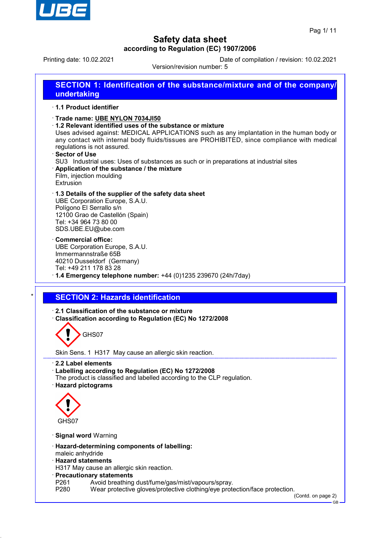

Printing date: 10.02.2021 Date of compilation / revision: 10.02.2021

Version/revision number: 5 **SECTION 1: Identification of the substance/mixture and of the company/ undertaking** · **1.1 Product identifier** · **Trade name: UBE NYLON 7034JI50** · **1.2 Relevant identified uses of the substance or mixture** Uses advised against: MEDICAL APPLICATIONS such as any implantation in the human body or any contact with internal body fluids/tissues are PROHIBITED, since compliance with medical regulations is not assured. · **Sector of Use** SU3 Industrial uses: Uses of substances as such or in preparations at industrial sites · **Application of the substance / the mixture** Film, injection moulding Extrusion · **1.3 Details of the supplier of the safety data sheet** UBE Corporation Europe, S.A.U. Polígono El Serrallo s/n 12100 Grao de Castellón (Spain) Tel: +34 964 73 80 00 SDS.UBE.EU@ube.com · **Commercial office:** UBE Corporation Europe, S.A.U. Immermannstraße 65B 40210 Dusseldorf (Germany) Tel: +49 211 178 83 28 · **1.4 Emergency telephone number:** +44 (0)1235 239670 (24h/7day) **SECTION 2: Hazards identification** · **2.1 Classification of the substance or mixture** · **Classification according to Regulation (EC) No 1272/2008** GHS07 Skin Sens. 1 H317 May cause an allergic skin reaction. · **2.2 Label elements** · **Labelling according to Regulation (EC) No 1272/2008** The product is classified and labelled according to the CLP regulation. · **Hazard pictograms** GHS07 · **Signal word** Warning

- · **Hazard-determining components of labelling:**
- maleic anhydride
- · **Hazard statements**
- H317 May cause an allergic skin reaction.
- · **Precautionary statements**
- P261 Avoid breathing dust/fume/gas/mist/vapours/spray.<br>P280 Wear protective gloves/protective clothing/eve prote
- Wear protective gloves/protective clothing/eye protection/face protection.

(Contd. on page 2)

GB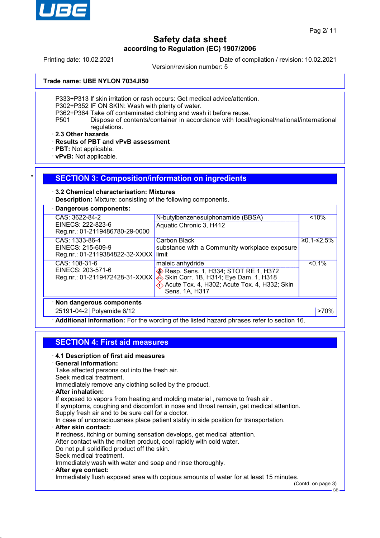

Printing date: 10.02.2021 Date of compilation / revision: 10.02.2021

Version/revision number: 5

#### **Trade name: UBE NYLON 7034JI50**

P333+P313 If skin irritation or rash occurs: Get medical advice/attention.

P302+P352 IF ON SKIN: Wash with plenty of water.

P362+P364 Take off contaminated clothing and wash it before reuse.

P501 Dispose of contents/container in accordance with local/regional/national/international regulations.

· **2.3 Other hazards**

· **Results of PBT and vPvB assessment**

- · **PBT:** Not applicable.
- · **vPvB:** Not applicable.

### **SECTION 3: Composition/information on ingredients**

### · **3.2 Chemical characterisation: Mixtures**

· **Description:** Mixture: consisting of the following components.

| <b>Dangerous components:</b>                                          |                                                                                                                                                                                       |              |
|-----------------------------------------------------------------------|---------------------------------------------------------------------------------------------------------------------------------------------------------------------------------------|--------------|
| CAS: 3622-84-2<br>EINECS: 222-823-6<br>Reg.nr.: 01-2119486780-29-0000 | N-butylbenzenesulphonamide (BBSA)<br>Aquatic Chronic 3, H412                                                                                                                          | < 10%        |
| CAS: 1333-86-4<br>EINECS: 215-609-9<br>Reg.nr.: 01-2119384822-32-XXXX | Carbon Black<br>substance with a Community workplace exposure<br>limit                                                                                                                | $≥0.1-S2.5%$ |
| CAS: 108-31-6<br>EINECS: 203-571-6<br>Reg.nr.: 01-2119472428-31-XXXX  | maleic anhydride<br><b>Example 20</b> Resp. Sens. 1, H334; STOT RE 1, H372<br>Skin Corr. 1B, H314; Eye Dam. 1, H318<br>Acute Tox. 4, H302; Acute Tox. 4, H332; Skin<br>Sens. 1A, H317 | $< 0.1\%$    |
| · Non dangerous components                                            |                                                                                                                                                                                       |              |
| 25191-04-2 Polyamide 6/12                                             |                                                                                                                                                                                       | $>70\%$      |
|                                                                       | Additional information: For the wording of the listed hazard phrases refer to section 16.                                                                                             |              |

## **SECTION 4: First aid measures**

### · **4.1 Description of first aid measures**

### · **General information:**

Take affected persons out into the fresh air.

Seek medical treatment.

Immediately remove any clothing soiled by the product.

· **After inhalation:**

If exposed to vapors from heating and molding material, remove to fresh air.

If symptoms, coughing and discomfort in nose and throat remain, get medical attention.

Supply fresh air and to be sure call for a doctor.

In case of unconsciousness place patient stably in side position for transportation.

· **After skin contact:**

If redness, itching or burning sensation develops, get medical attention.

After contact with the molten product, cool rapidly with cold water.

Do not pull solidified product off the skin.

Seek medical treatment.

Immediately wash with water and soap and rinse thoroughly.

· **After eye contact:**

Immediately flush exposed area with copious amounts of water for at least 15 minutes.

(Contd. on page 3)

GB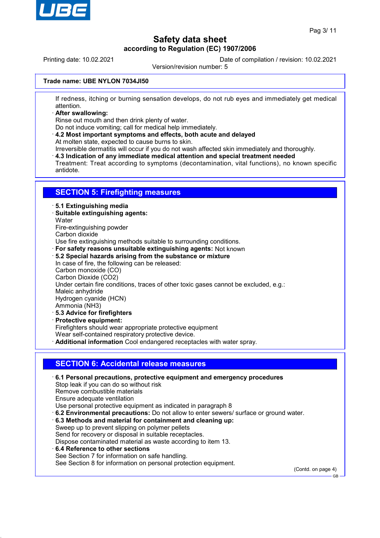

Printing date: 10.02.2021 Date of compilation / revision: 10.02.2021

Version/revision number: 5

#### **Trade name: UBE NYLON 7034JI50**

If redness, itching or burning sensation develops, do not rub eyes and immediately get medical attention.

· **After swallowing:**

Rinse out mouth and then drink plenty of water.

Do not induce vomiting; call for medical help immediately.

· **4.2 Most important symptoms and effects, both acute and delayed** At molten state, expected to cause burns to skin.

Irreversible dermatitis will occur if you do not wash affected skin immediately and thoroughly.

· **4.3 Indication of any immediate medical attention and special treatment needed**

Treatment: Treat according to symptoms (decontamination, vital functions), no known specific antidote.

### **SECTION 5: Firefighting measures**

- · **5.1 Extinguishing media**
- · **Suitable extinguishing agents:**
- **Water**
- Fire-extinguishing powder
- Carbon dioxide

Use fire extinguishing methods suitable to surrounding conditions.

- · **For safety reasons unsuitable extinguishing agents:** Not known
- · **5.2 Special hazards arising from the substance or mixture**
- In case of fire, the following can be released: Carbon monoxide (CO) Carbon Dioxide (CO2) Under certain fire conditions, traces of other toxic gases cannot be excluded, e.g.: Maleic anhydride Hydrogen cyanide (HCN) Ammonia (NH3) · **5.3 Advice for firefighters** · **Protective equipment:**
- Firefighters should wear appropriate protective equipment

Wear self-contained respiratory protective device.

· **Additional information** Cool endangered receptacles with water spray.

### **SECTION 6: Accidental release measures**

- · **6.1 Personal precautions, protective equipment and emergency procedures** Stop leak if you can do so without risk Remove combustible materials Ensure adequate ventilation Use personal protective equipment as indicated in paragraph 8 · **6.2 Environmental precautions:** Do not allow to enter sewers/ surface or ground water. · **6.3 Methods and material for containment and cleaning up:**
- Sweep up to prevent slipping on polymer pellets Send for recovery or disposal in suitable receptacles. Dispose contaminated material as waste according to item 13.
- · **6.4 Reference to other sections** See Section 7 for information on safe handling. See Section 8 for information on personal protection equipment.

(Contd. on page 4)

GB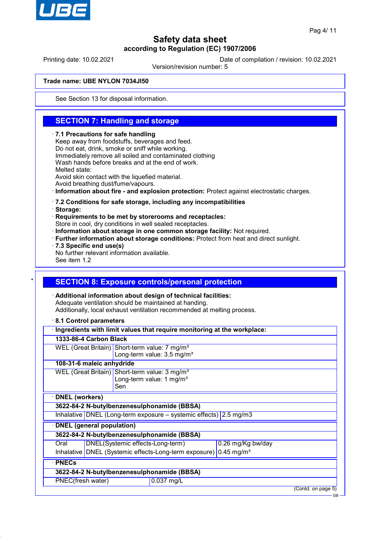

Printing date: 10.02.2021 Date of compilation / revision: 10.02.2021

Version/revision number: 5

#### **Trade name: UBE NYLON 7034JI50**

See Section 13 for disposal information.

### **SECTION 7: Handling and storage**

#### · **7.1 Precautions for safe handling**

Keep away from foodstuffs, beverages and feed. Do not eat, drink, smoke or sniff while working. Immediately remove all soiled and contaminated clothing Wash hands before breaks and at the end of work. Melted state: Avoid skin contact with the liquefied material. Avoid breathing dust/fume/vapours.

· **Information about fire - and explosion protection:** Protect against electrostatic charges.

#### · **7.2 Conditions for safe storage, including any incompatibilities**

· **Storage:**

· **Requirements to be met by storerooms and receptacles:**

Store in cool, dry conditions in well sealed receptacles.

- · **Information about storage in one common storage facility:** Not required.
- · **Further information about storage conditions:** Protect from heat and direct sunlight.
- · **7.3 Specific end use(s)**

No further relevant information available.

See item 1.2

### **SECTION 8: Exposure controls/personal protection**

· **Additional information about design of technical facilities:** Adequate ventilation should be maintained at handing. Additionally, local exhaust ventilation recommended at melting process.

· **8.1 Control parameters**

|                                  |                                      | Ingredients with limit values that require monitoring at the workplace:      |                   |                    |
|----------------------------------|--------------------------------------|------------------------------------------------------------------------------|-------------------|--------------------|
| 1333-86-4 Carbon Black           |                                      |                                                                              |                   |                    |
|                                  |                                      | WEL (Great Britain) Short-term value: 7 mg/m <sup>3</sup>                    |                   |                    |
|                                  |                                      | Long-term value: 3.5 mg/m <sup>3</sup>                                       |                   |                    |
| 108-31-6 maleic anhydride        |                                      |                                                                              |                   |                    |
|                                  |                                      | WEL (Great Britain) Short-term value: 3 mg/m <sup>3</sup>                    |                   |                    |
|                                  | Long-term value: 1 mg/m <sup>3</sup> |                                                                              |                   |                    |
|                                  | Sen                                  |                                                                              |                   |                    |
| <b>DNEL</b> (workers)            |                                      |                                                                              |                   |                    |
|                                  |                                      | 3622-84-2 N-butylbenzenesulphonamide (BBSA)                                  |                   |                    |
|                                  |                                      | Inhalative DNEL (Long-term exposure $-$ systemic effects) 2.5 mg/m3          |                   |                    |
| <b>DNEL</b> (general population) |                                      |                                                                              |                   |                    |
|                                  |                                      | 3622-84-2 N-butylbenzenesulphonamide (BBSA)                                  |                   |                    |
| Oral                             | DNEL(Systemic effects-Long-term)     |                                                                              | 0.26 mg/Kg bw/day |                    |
|                                  |                                      | Inhalative DNEL (Systemic effects-Long-term exposure) 0.45 mg/m <sup>3</sup> |                   |                    |
| · PNECs                          |                                      |                                                                              |                   |                    |
|                                  |                                      | 3622-84-2 N-butylbenzenesulphonamide (BBSA)                                  |                   |                    |
| PNEC(fresh water)                |                                      | 0.037 mg/L                                                                   |                   |                    |
|                                  |                                      |                                                                              |                   | (Contd. on page 5) |
|                                  |                                      |                                                                              |                   | <b>GB</b>          |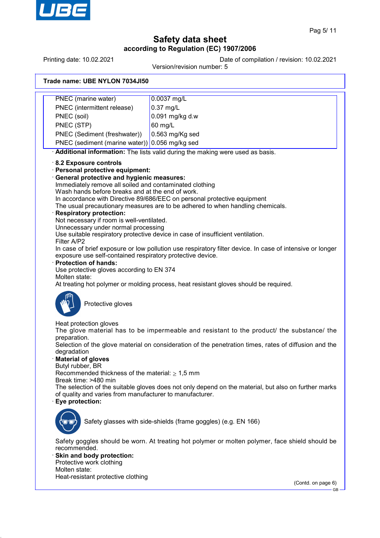

Printing date: 10.02.2021 Date of compilation / revision: 10.02.2021

Version/revision number: 5

| Trade name: UBE NYLON 7034JI50 |  |  |  |
|--------------------------------|--|--|--|
|--------------------------------|--|--|--|

| PNEC (marine water)                                                                                                                                                                                                                                                                                                                                                                                                                                                                                                     | 0.0037 mg/L                                                                                                                                                                                                                                                                                                                                               |
|-------------------------------------------------------------------------------------------------------------------------------------------------------------------------------------------------------------------------------------------------------------------------------------------------------------------------------------------------------------------------------------------------------------------------------------------------------------------------------------------------------------------------|-----------------------------------------------------------------------------------------------------------------------------------------------------------------------------------------------------------------------------------------------------------------------------------------------------------------------------------------------------------|
| PNEC (intermittent release)                                                                                                                                                                                                                                                                                                                                                                                                                                                                                             | 0.37 mg/L                                                                                                                                                                                                                                                                                                                                                 |
| PNEC (soil)                                                                                                                                                                                                                                                                                                                                                                                                                                                                                                             | 0.091 mg/kg d.w                                                                                                                                                                                                                                                                                                                                           |
| PNEC (STP)                                                                                                                                                                                                                                                                                                                                                                                                                                                                                                              | 60 mg/L                                                                                                                                                                                                                                                                                                                                                   |
| PNEC (Sediment (freshwater))                                                                                                                                                                                                                                                                                                                                                                                                                                                                                            | 0.563 mg/Kg sed                                                                                                                                                                                                                                                                                                                                           |
| PNEC (sediment (marine water)) 0.056 mg/kg sed                                                                                                                                                                                                                                                                                                                                                                                                                                                                          |                                                                                                                                                                                                                                                                                                                                                           |
|                                                                                                                                                                                                                                                                                                                                                                                                                                                                                                                         | Additional information: The lists valid during the making were used as basis.                                                                                                                                                                                                                                                                             |
| 8.2 Exposure controls<br>· Personal protective equipment:<br>· General protective and hygienic measures:<br>Immediately remove all soiled and contaminated clothing<br>Wash hands before breaks and at the end of work.<br><b>Respiratory protection:</b><br>Not necessary if room is well-ventilated.<br>Unnecessary under normal processing<br>Filter A/P2<br>exposure use self-contained respiratory protective device.<br><b>Protection of hands:</b><br>Use protective gloves according to EN 374<br>Molten state: | In accordance with Directive 89/686/EEC on personal protective equipment<br>The usual precautionary measures are to be adhered to when handling chemicals.<br>Use suitable respiratory protective device in case of insufficient ventilation.<br>In case of brief exposure or low pollution use respiratory filter device. In case of intensive or longer |
| Protective gloves                                                                                                                                                                                                                                                                                                                                                                                                                                                                                                       | At treating hot polymer or molding process, heat resistant gloves should be required.                                                                                                                                                                                                                                                                     |
| Heat protection gloves<br>preparation.                                                                                                                                                                                                                                                                                                                                                                                                                                                                                  | The glove material has to be impermeable and resistant to the product/ the substance/ the                                                                                                                                                                                                                                                                 |
| degradation<br><b>Material of gloves</b><br>Butyl rubber, BR                                                                                                                                                                                                                                                                                                                                                                                                                                                            | Selection of the glove material on consideration of the penetration times, rates of diffusion and the                                                                                                                                                                                                                                                     |
| Recommended thickness of the material: $\geq 1.5$ mm<br>Break time: >480 min                                                                                                                                                                                                                                                                                                                                                                                                                                            |                                                                                                                                                                                                                                                                                                                                                           |
| of quality and varies from manufacturer to manufacturer.<br>Eye protection:                                                                                                                                                                                                                                                                                                                                                                                                                                             | The selection of the suitable gloves does not only depend on the material, but also on further marks                                                                                                                                                                                                                                                      |
|                                                                                                                                                                                                                                                                                                                                                                                                                                                                                                                         | Safety glasses with side-shields (frame goggles) (e.g. EN 166)                                                                                                                                                                                                                                                                                            |
| recommended.<br>Skin and body protection:                                                                                                                                                                                                                                                                                                                                                                                                                                                                               | Safety goggles should be worn. At treating hot polymer or molten polymer, face shield should be                                                                                                                                                                                                                                                           |
| Protective work clothing                                                                                                                                                                                                                                                                                                                                                                                                                                                                                                |                                                                                                                                                                                                                                                                                                                                                           |
| Molten state:<br>Heat-resistant protective clothing                                                                                                                                                                                                                                                                                                                                                                                                                                                                     | (Contd. on page 6)                                                                                                                                                                                                                                                                                                                                        |
|                                                                                                                                                                                                                                                                                                                                                                                                                                                                                                                         |                                                                                                                                                                                                                                                                                                                                                           |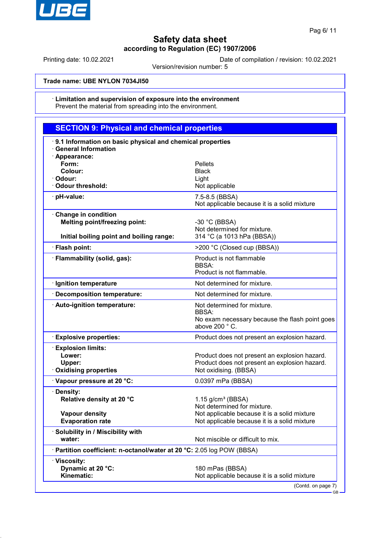

Printing date: 10.02.2021 Date of compilation / revision: 10.02.2021

Version/revision number: 5

### **Trade name: UBE NYLON 7034JI50**

#### Limitation and supervision of exposure into the environment Prevent the material from spreading into the environment.

## **SECTION 9: Physical and chemical properties** · **9.1 Information on basic physical and chemical properties** · **General Information** · **Appearance: Form:** Pellets **Colour:** Black · **Odour:** Light **Odour threshold:** Not applicable · **pH-value:** 7.5-8.5 (BBSA) Not applicable because it is a solid mixture · **Change in condition Melting point/freezing point:** -30 °C (BBSA) Not determined for mixture. **Initial boiling point and boiling range:** 314 °C (a 1013 hPa (BBSA)) · **Flash point:** >200 °C (Closed cup (BBSA)) · **Flammability (solid, gas):** Product is not flammable BBSA: Product is not flammable. · **Ignition temperature If all a set of the UP** and Not determined for mixture. · **Decomposition temperature:** Not determined for mixture. · **Auto-ignition temperature:** Not determined for mixture. BBSA: No exam necessary because the flash point goes above 200 ° C. · **Explosive properties:** Product does not present an explosion hazard. · **Explosion limits: Lower: Lower: Product does not present an explosion hazard.** Upper: Upper: **Product does not present an explosion hazard.** · **Oxidising properties** Not oxidising. (BBSA) · **Vapour pressure at 20 °C:** 0.0397 mPa (BBSA) · **Density: Relative density at 20 °C** 1.15 g/cm<sup>3</sup> (BBSA) Not determined for mixture. **Vapour density** Not applicable because it is a solid mixture **Evaporation rate Evaporation rate Not applicable because it is a solid mixture** · **Solubility in / Miscibility with water:**  $\blacksquare$  Not miscible or difficult to mix. · **Partition coefficient: n-octanol/water at 20 °C:** 2.05 log POW (BBSA) · **Viscosity: Dynamic at 20 °C:** 180 mPas (BBSA)<br> **Kinematic:** 180 mPas (BBSA) Not applicable because it is a solid mixture (Contd. on page 7)

GB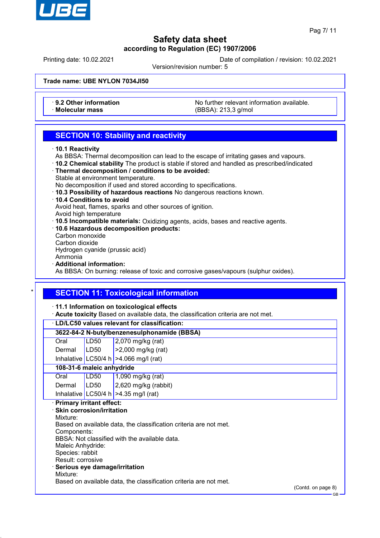

GB

# **Safety data sheet according to Regulation (EC) 1907/2006**

Printing date: 10.02.2021 Date of compilation / revision: 10.02.2021

Version/revision number: 5

**Trade name: UBE NYLON 7034JI50**

• **9.2 Other information** No further relevant information available.<br>
Molecular mass **Notecular mass** (RBSA) 213.3 g/mol · **Molecular mass** (BBSA): 213,3 g/mol

## **SECTION 10: Stability and reactivity**

- · **10.1 Reactivity**
- As BBSA: Thermal decomposition can lead to the escape of irritating gases and vapours.
- · **10.2 Chemical stability** The product is stable if stored and handled as prescribed/indicated
- · **Thermal decomposition / conditions to be avoided:**
- Stable at environment temperature.
- No decomposition if used and stored according to specifications.
- · **10.3 Possibility of hazardous reactions** No dangerous reactions known.
- · **10.4 Conditions to avoid**

Avoid heat, flames, sparks and other sources of ignition.

- Avoid high temperature
- · **10.5 Incompatible materials:** Oxidizing agents, acids, bases and reactive agents.
- · **10.6 Hazardous decomposition products:** Carbon monoxide
- Carbon dioxide

Hydrogen cyanide (prussic acid)

Ammonia

· **Additional information:**

As BBSA: On burning: release of toxic and corrosive gases/vapours (sulphur oxides).

## **SECTION 11: Toxicological information**

### · **11.1 Information on toxicological effects**

· **Acute toxicity** Based on available data, the classification criteria are not met.

|                   |                                  | LD/LC50 values relevant for classification:                       |                    |
|-------------------|----------------------------------|-------------------------------------------------------------------|--------------------|
|                   |                                  | 3622-84-2 N-butylbenzenesulphonamide (BBSA)                       |                    |
| Oral              | LD <sub>50</sub>                 | 2,070 mg/kg (rat)                                                 |                    |
| Dermal            | LD50                             | $>2,000$ mg/kg (rat)                                              |                    |
|                   |                                  | Inhalative LC50/4 h $>4.066$ mg/l (rat)                           |                    |
|                   | 108-31-6 maleic anhydride        |                                                                   |                    |
| Oral              | LD <sub>50</sub>                 | $1,090$ mg/kg (rat)                                               |                    |
| Dermal            | LD50                             | 2,620 mg/kg (rabbit)                                              |                    |
|                   |                                  | Inhalative   LC50/4 h   $>4.35$ mg/l (rat)                        |                    |
|                   | <b>Primary irritant effect:</b>  |                                                                   |                    |
|                   | <b>Skin corrosion/irritation</b> |                                                                   |                    |
| Mixture:          |                                  |                                                                   |                    |
| Components:       |                                  | Based on available data, the classification criteria are not met. |                    |
|                   |                                  | BBSA: Not classified with the available data.                     |                    |
| Maleic Anhydride: |                                  |                                                                   |                    |
| Species: rabbit   |                                  |                                                                   |                    |
| Result: corrosive |                                  |                                                                   |                    |
|                   |                                  | Serious eye damage/irritation                                     |                    |
| Mixture:          |                                  |                                                                   |                    |
|                   |                                  | Based on available data, the classification criteria are not met. |                    |
|                   |                                  |                                                                   | (Contd. on page 8) |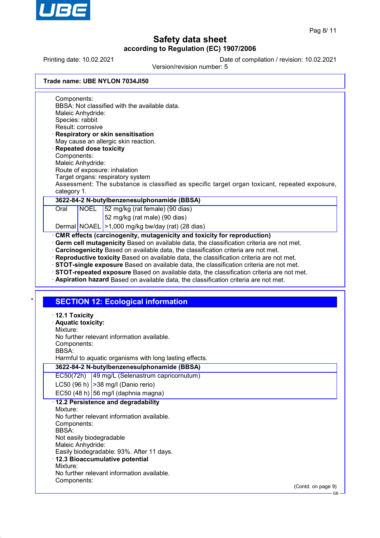

GB

# **Safety data sheet according to Regulation (EC) 1907/2006**

Printing date: 10.02.2021 Date of compilation / revision: 10.02.2021

Version/revision number: 5

|  |  | Trade name: UBE NYLON 7034JI50 |
|--|--|--------------------------------|
|  |  |                                |

Components: BBSA: Not classified with the available data. Maleic Anhydride: Species: rabbit Result: corrosive

- · **Respiratory or skin sensitisation** May cause an allergic skin reaction.
- · **Repeated dose toxicity** Components:
- Maleic Anhydride:
- Route of exposure: inhalation
- Target organs: respiratory system

Assessment: The substance is classified as specific target organ toxicant, repeated exposure, category 1.

### **3622-84-2 N-butylbenzenesulphonamide (BBSA)**

Oral NOEL 52 mg/kg (rat female) (90 dias)

52 mg/kg (rat male) (90 dias)

Dermal NOAEL > 1,000 mg/kg bw/day (rat) (28 dias)

### · **CMR effects (carcinogenity, mutagenicity and toxicity for reproduction)**

- · **Germ cell mutagenicity** Based on available data, the classification criteria are not met.
- · **Carcinogenicity** Based on available data, the classification criteria are not met.
- · **Reproductive toxicity** Based on available data, the classification criteria are not met.
- · **STOT-single exposure** Based on available data, the classification criteria are not met.
- · **STOT-repeated exposure** Based on available data, the classification criteria are not met.
- · **Aspiration hazard** Based on available data, the classification criteria are not met.

## **SECTION 12: Ecological information**

| $\cdot$ 12.1 Toxicity<br>· Aquatic toxicity:<br>Mixture:<br>Components:<br>BBSA:                                   | No further relevant information available.<br>Harmful to aquatic organisms with long lasting effects.                                                                                                           |                    |
|--------------------------------------------------------------------------------------------------------------------|-----------------------------------------------------------------------------------------------------------------------------------------------------------------------------------------------------------------|--------------------|
|                                                                                                                    | 3622-84-2 N-butylbenzenesulphonamide (BBSA)                                                                                                                                                                     |                    |
| EC50(72h)                                                                                                          | 49 mg/L (Selenastrum capricornutum)                                                                                                                                                                             |                    |
|                                                                                                                    | LC50 (96 h) $\vert$ >38 mg/l (Danio rerio)                                                                                                                                                                      |                    |
|                                                                                                                    | EC50 $(48 h)$ 56 mg/l (daphnia magna)                                                                                                                                                                           |                    |
| Mixture:<br>Components:<br><b>BBSA</b><br>Not easily biodegradable<br>Maleic Anhydride:<br>Mixture:<br>Components: | 12.2 Persistence and degradability<br>No further relevant information available.<br>Easily biodegradable: 93%. After 11 days.<br>· 12.3 Bioaccumulative potential<br>No further relevant information available. |                    |
|                                                                                                                    |                                                                                                                                                                                                                 | (Contd. on page 9) |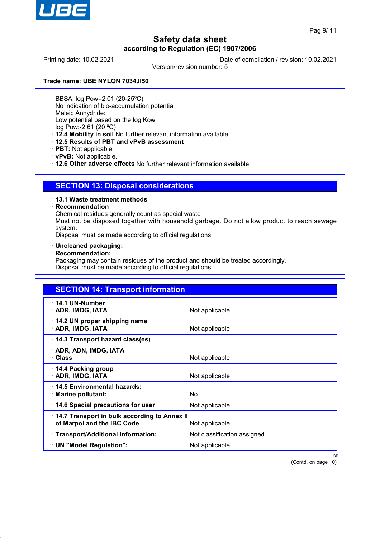

Printing date: 10.02.2021 Date of compilation / revision: 10.02.2021

Version/revision number: 5

**Trade name: UBE NYLON 7034JI50**

BBSA: log Pow=2.01 (20-25ºC)

No indication of bio-accumulation potential

Maleic Anhydride:

Low potential based on the log Kow

log Pow:-2.61 (20 ºC)

· **12.4 Mobility in soil** No further relevant information available.

- · **12.5 Results of PBT and vPvB assessment**
- · **PBT:** Not applicable.

· **vPvB:** Not applicable.

· **12.6 Other adverse effects** No further relevant information available.

### **SECTION 13: Disposal considerations**

### · **13.1 Waste treatment methods**

#### · **Recommendation**

Chemical residues generally count as special waste

Must not be disposed together with household garbage. Do not allow product to reach sewage system.

Disposal must be made according to official regulations.

- · **Uncleaned packaging:**
- · **Recommendation:**

Packaging may contain residues of the product and should be treated accordingly. Disposal must be made according to official regulations.

| <b>SECTION 14: Transport information</b>                                   |                             |  |
|----------------------------------------------------------------------------|-----------------------------|--|
| $\cdot$ 14.1 UN-Number<br>· ADR, IMDG, IATA                                | Not applicable              |  |
| 14.2 UN proper shipping name<br>· ADR, IMDG, IATA                          | Not applicable              |  |
| 14.3 Transport hazard class(es)                                            |                             |  |
| · ADR, ADN, IMDG, IATA<br>· Class                                          | Not applicable              |  |
| 14.4 Packing group<br>· ADR, IMDG, IATA                                    | Not applicable              |  |
| ⋅14.5 Environmental hazards:<br>· Marine pollutant:                        | No.                         |  |
| 14.6 Special precautions for user                                          | Not applicable.             |  |
| 14.7 Transport in bulk according to Annex II<br>of Marpol and the IBC Code | Not applicable.             |  |
| · Transport/Additional information:                                        | Not classification assigned |  |
| · UN "Model Regulation":                                                   | Not applicable              |  |

(Contd. on page 10)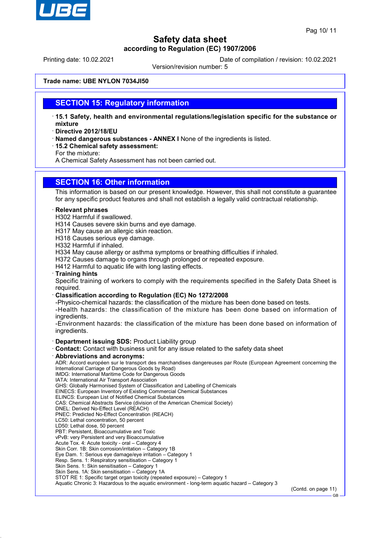

Printing date: 10.02.2021 Date of compilation / revision: 10.02.2021

Version/revision number: 5

#### **Trade name: UBE NYLON 7034JI50**

### **SECTION 15: Regulatory information**

- · **15.1 Safety, health and environmental regulations/legislation specific for the substance or mixture**
- · **Directive 2012/18/EU**
- · **Named dangerous substances ANNEX I** None of the ingredients is listed.
- · **15.2 Chemical safety assessment:**
- For the mixture:

A Chemical Safety Assessment has not been carried out.

### **SECTION 16: Other information**

This information is based on our present knowledge. However, this shall not constitute a guarantee for any specific product features and shall not establish a legally valid contractual relationship.

#### · **Relevant phrases**

- H302 Harmful if swallowed.
- H314 Causes severe skin burns and eye damage.
- H317 May cause an allergic skin reaction.
- H318 Causes serious eye damage.

H332 Harmful if inhaled.

- H334 May cause allergy or asthma symptoms or breathing difficulties if inhaled.
- H372 Causes damage to organs through prolonged or repeated exposure.
- H412 Harmful to aquatic life with long lasting effects.
- · **Training hints**

Specific training of workers to comply with the requirements specified in the Safety Data Sheet is required.

- · **Classification according to Regulation (EC) No 1272/2008**
- -Physico-chemical hazards: the classification of the mixture has been done based on tests.

-Health hazards: the classification of the mixture has been done based on information of ingredients.

-Environment hazards: the classification of the mixture has been done based on information of ingredients.

#### · **Department issuing SDS:** Product Liability group

- · **Contact:** Contact with business unit for any issue related to the safety data sheet
- · **Abbreviations and acronyms:**

ADR: Accord européen sur le transport des marchandises dangereuses par Route (European Agreement concerning the International Carriage of Dangerous Goods by Road)

IMDG: International Maritime Code for Dangerous Goods

- IATA: International Air Transport Association GHS: Globally Harmonised System of Classification and Labelling of Chemicals
- EINECS: European Inventory of Existing Commercial Chemical Substances
- ELINCS: European List of Notified Chemical Substances
- CAS: Chemical Abstracts Service (division of the American Chemical Society)
- DNEL: Derived No-Effect Level (REACH)
- PNEC: Predicted No-Effect Concentration (REACH)
- LC50: Lethal concentration, 50 percent
- LD50: Lethal dose, 50 percent
- PBT: Persistent, Bioaccumulative and Toxic
- vPvB: very Persistent and very Bioaccumulative
- Acute Tox. 4: Acute toxicity oral Category 4
- Skin Corr. 1B: Skin corrosion/irritation Category 1B
- Eye Dam. 1: Serious eye damage/eye irritation Category 1
- Resp. Sens. 1: Respiratory sensitisation Category 1
- Skin Sens. 1: Skin sensitisation Category 1
- Skin Sens. 1A: Skin sensitisation Category 1A

STOT RE 1: Specific target organ toxicity (repeated exposure) – Category 1

Aquatic Chronic 3: Hazardous to the aquatic environment - long-term aquatic hazard – Category 3

(Contd. on page 11)